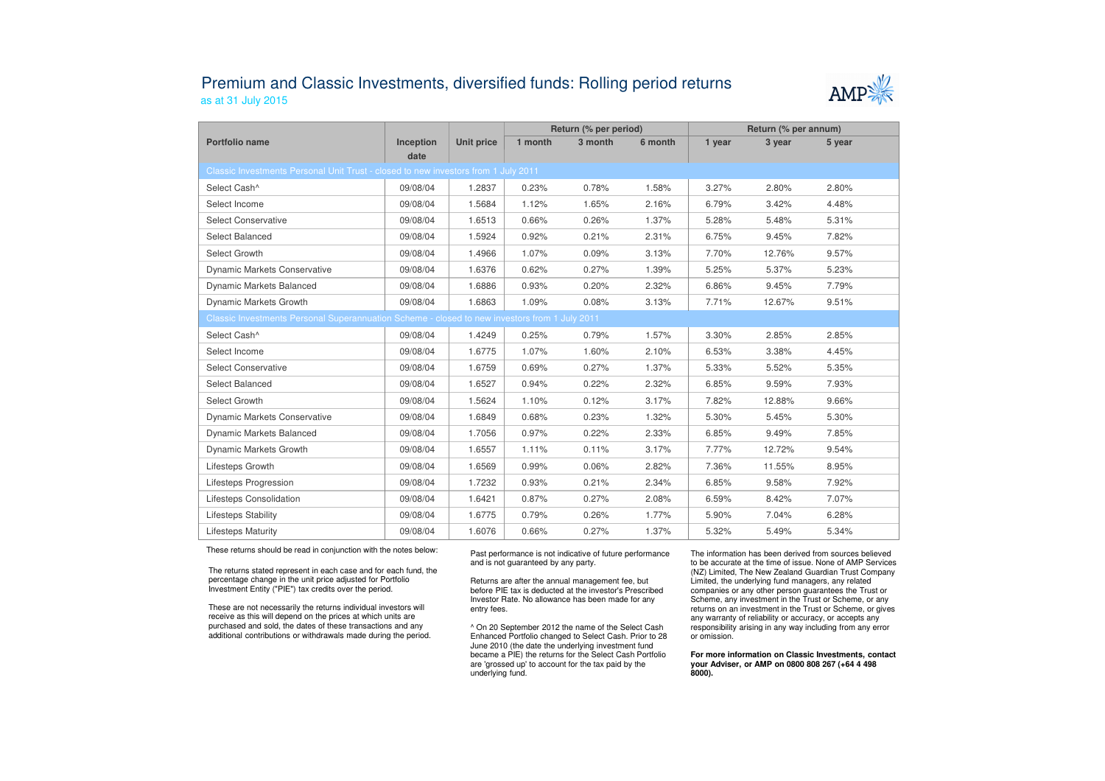## Premium and Classic Investments, diversified funds: Rolling period returnsas at 31 July 2015



|                                                                                               |                   |                   | Return (% per period) |         |         | Return (% per annum) |        |        |  |  |
|-----------------------------------------------------------------------------------------------|-------------------|-------------------|-----------------------|---------|---------|----------------------|--------|--------|--|--|
| Portfolio name                                                                                | Inception<br>date | <b>Unit price</b> | 1 month               | 3 month | 6 month | 1 year               | 3 year | 5 year |  |  |
| Classic Investments Personal Unit Trust - closed to new investors from 1 July 2011            |                   |                   |                       |         |         |                      |        |        |  |  |
| Select Cash^                                                                                  | 09/08/04          | 1.2837            | 0.23%                 | 0.78%   | 1.58%   | 3.27%                | 2.80%  | 2.80%  |  |  |
| Select Income                                                                                 | 09/08/04          | 1.5684            | 1.12%                 | 1.65%   | 2.16%   | 6.79%                | 3.42%  | 4.48%  |  |  |
| <b>Select Conservative</b>                                                                    | 09/08/04          | 1.6513            | 0.66%                 | 0.26%   | 1.37%   | 5.28%                | 5.48%  | 5.31%  |  |  |
| Select Balanced                                                                               | 09/08/04          | 1.5924            | 0.92%                 | 0.21%   | 2.31%   | 6.75%                | 9.45%  | 7.82%  |  |  |
| Select Growth                                                                                 | 09/08/04          | 1.4966            | 1.07%                 | 0.09%   | 3.13%   | 7.70%                | 12.76% | 9.57%  |  |  |
| <b>Dynamic Markets Conservative</b>                                                           | 09/08/04          | 1.6376            | 0.62%                 | 0.27%   | 1.39%   | 5.25%                | 5.37%  | 5.23%  |  |  |
| <b>Dynamic Markets Balanced</b>                                                               | 09/08/04          | 1.6886            | 0.93%                 | 0.20%   | 2.32%   | 6.86%                | 9.45%  | 7.79%  |  |  |
| Dynamic Markets Growth                                                                        | 09/08/04          | 1.6863            | 1.09%                 | 0.08%   | 3.13%   | 7.71%                | 12.67% | 9.51%  |  |  |
| Classic Investments Personal Superannuation Scheme - closed to new investors from 1 July 2011 |                   |                   |                       |         |         |                      |        |        |  |  |
| Select Cash^                                                                                  | 09/08/04          | 1.4249            | 0.25%                 | 0.79%   | 1.57%   | 3.30%                | 2.85%  | 2.85%  |  |  |
| Select Income                                                                                 | 09/08/04          | 1.6775            | 1.07%                 | 1.60%   | 2.10%   | 6.53%                | 3.38%  | 4.45%  |  |  |
| <b>Select Conservative</b>                                                                    | 09/08/04          | 1.6759            | 0.69%                 | 0.27%   | 1.37%   | 5.33%                | 5.52%  | 5.35%  |  |  |
| Select Balanced                                                                               | 09/08/04          | 1.6527            | 0.94%                 | 0.22%   | 2.32%   | 6.85%                | 9.59%  | 7.93%  |  |  |
| Select Growth                                                                                 | 09/08/04          | 1.5624            | 1.10%                 | 0.12%   | 3.17%   | 7.82%                | 12.88% | 9.66%  |  |  |
| <b>Dynamic Markets Conservative</b>                                                           | 09/08/04          | 1.6849            | 0.68%                 | 0.23%   | 1.32%   | 5.30%                | 5.45%  | 5.30%  |  |  |
| Dynamic Markets Balanced                                                                      | 09/08/04          | 1.7056            | 0.97%                 | 0.22%   | 2.33%   | 6.85%                | 9.49%  | 7.85%  |  |  |
| Dynamic Markets Growth                                                                        | 09/08/04          | 1.6557            | 1.11%                 | 0.11%   | 3.17%   | 7.77%                | 12.72% | 9.54%  |  |  |
| Lifesteps Growth                                                                              | 09/08/04          | 1.6569            | 0.99%                 | 0.06%   | 2.82%   | 7.36%                | 11.55% | 8.95%  |  |  |
| <b>Lifesteps Progression</b>                                                                  | 09/08/04          | 1.7232            | 0.93%                 | 0.21%   | 2.34%   | 6.85%                | 9.58%  | 7.92%  |  |  |
| Lifesteps Consolidation                                                                       | 09/08/04          | 1.6421            | 0.87%                 | 0.27%   | 2.08%   | 6.59%                | 8.42%  | 7.07%  |  |  |
| Lifesteps Stability                                                                           | 09/08/04          | 1.6775            | 0.79%                 | 0.26%   | 1.77%   | 5.90%                | 7.04%  | 6.28%  |  |  |
| <b>Lifesteps Maturity</b>                                                                     | 09/08/04          | 1.6076            | 0.66%                 | 0.27%   | 1.37%   | 5.32%                | 5.49%  | 5.34%  |  |  |

These returns should be read in conjunction with the notes below:

The returns stated represent in each case and for each fund, the percentage change in the unit price adjusted for Portfolio Investment Entity ("PIE") tax credits over the period.

These are not necessarily the returns individual investors will receive as this will depend on the prices at which units are purchased and sold, the dates of these transactions and any additional contributions or withdrawals made during the period. Past performance is not indicative of future performance and is not guaranteed by any party.

Returns are after the annual management fee, but before PIE tax is deducted at the investor's Prescribed Investor Rate. No allowance has been made for any entry fees.

^ On 20 September 2012 the name of the Select Cash Enhanced Portfolio changed to Select Cash. Prior to 28 June 2010 (the date the underlying investment fund became a PIE) the returns for the Select Cash Portfolio are 'grossed up' to account for the tax paid by theunderlying fund.

The information has been derived from sources believed to be accurate at the time of issue. None of AMP Services (NZ) Limited, The New Zealand Guardian Trust Company Limited, the underlying fund managers, any related companies or any other person guarantees the Trust or Scheme, any investment in the Trust or Scheme, or any returns on an investment in the Trust or Scheme, or gives any warranty of reliability or accuracy, or accepts any responsibility arising in any way including from any error or omission.

**For more information on Classic Investments, contact your Adviser, or AMP on 0800 808 267 (+64 4 498 8000).**